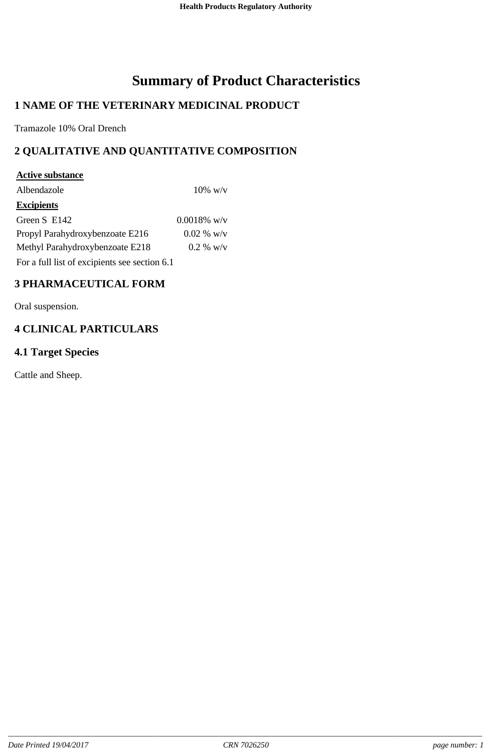# **Summary of Product Characteristics**

## **1 NAME OF THE VETERINARY MEDICINAL PRODUCT**

Tramazole 10% Oral Drench

## **2 QUALITATIVE AND QUANTITATIVE COMPOSITION**

## **Active substance** Albendazole 10% w/v **Excipients** Green S E142 0.0018% w/v Propyl Parahydroxybenzoate E216 0.02 % w/v Methyl Parahydroxybenzoate E218 0.2 % w/v For a full list of excipients see section 6.1

## **3 PHARMACEUTICAL FORM**

Oral suspension.

## **4 CLINICAL PARTICULARS**

### **4.1 Target Species**

Cattle and Sheep.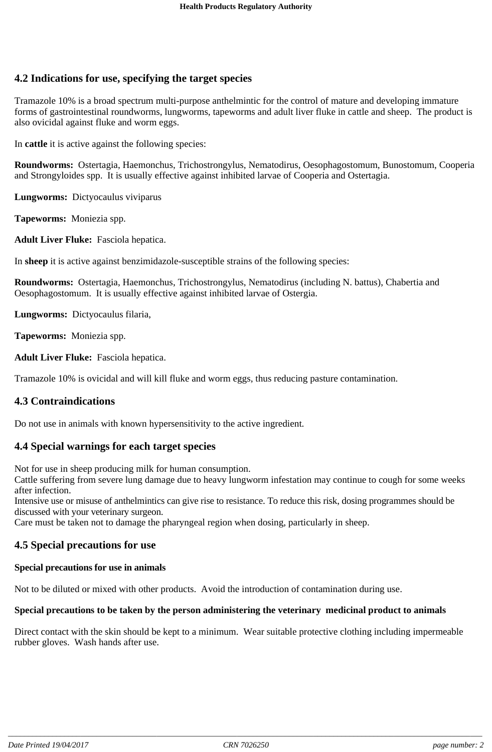### **4.2 Indications for use, specifying the target species**

Tramazole 10% is a broad spectrum multi-purpose anthelmintic for the control of mature and developing immature forms of gastrointestinal roundworms, lungworms, tapeworms and adult liver fluke in cattle and sheep. The product is also ovicidal against fluke and worm eggs.

In **cattle** it is active against the following species:

**Roundworms:** Ostertagia, Haemonchus, Trichostrongylus, Nematodirus, Oesophagostomum, Bunostomum, Cooperia and Strongyloides spp. It is usually effective against inhibited larvae of Cooperia and Ostertagia.

**Lungworms:** Dictyocaulus viviparus

**Tapeworms:** Moniezia spp.

**Adult Liver Fluke:** Fasciola hepatica.

In **sheep** it is active against benzimidazole-susceptible strains of the following species:

**Roundworms:** Ostertagia, Haemonchus, Trichostrongylus, Nematodirus (including N. battus), Chabertia and Oesophagostomum. It is usually effective against inhibited larvae of Ostergia.

**Lungworms:** Dictyocaulus filaria,

**Tapeworms:** Moniezia spp.

**Adult Liver Fluke:** Fasciola hepatica.

Tramazole 10% is ovicidal and will kill fluke and worm eggs, thus reducing pasture contamination.

#### **4.3 Contraindications**

Do not use in animals with known hypersensitivity to the active ingredient.

#### **4.4 Special warnings for each target species**

Not for use in sheep producing milk for human consumption.

Cattle suffering from severe lung damage due to heavy lungworm infestation may continue to cough for some weeks after infection.

Intensive use or misuse of anthelmintics can give rise to resistance. To reduce this risk, dosing programmes should be discussed with your veterinary surgeon.

Care must be taken not to damage the pharyngeal region when dosing, particularly in sheep.

#### **4.5 Special precautions for use**

#### **Special precautions for use in animals**

Not to be diluted or mixed with other products. Avoid the introduction of contamination during use.

#### **Special precautions to be taken by the person administering the veterinary medicinal product to animals**

Direct contact with the skin should be kept to a minimum. Wear suitable protective clothing including impermeable rubber gloves. Wash hands after use.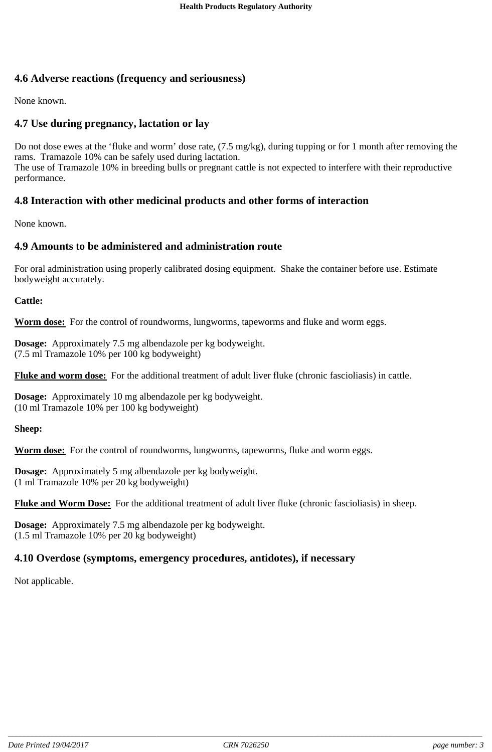### **4.6 Adverse reactions (frequency and seriousness)**

None known.

### **4.7 Use during pregnancy, lactation or lay**

Do not dose ewes at the 'fluke and worm' dose rate, (7.5 mg/kg), during tupping or for 1 month after removing the rams. Tramazole 10% can be safely used during lactation. The use of Tramazole 10% in breeding bulls or pregnant cattle is not expected to interfere with their reproductive performance.

## **4.8 Interaction with other medicinal products and other forms of interaction**

None known.

### **4.9 Amounts to be administered and administration route**

For oral administration using properly calibrated dosing equipment. Shake the container before use. Estimate bodyweight accurately.

**Cattle:**

**Worm dose:** For the control of roundworms, lungworms, tapeworms and fluke and worm eggs.

**Dosage:** Approximately 7.5 mg albendazole per kg bodyweight. (7.5 ml Tramazole 10% per 100 kg bodyweight)

**Fluke and worm dose:** For the additional treatment of adult liver fluke (chronic fascioliasis) in cattle.

**Dosage:** Approximately 10 mg albendazole per kg bodyweight. (10 ml Tramazole 10% per 100 kg bodyweight)

**Sheep:**

**Worm dose:** For the control of roundworms, lungworms, tapeworms, fluke and worm eggs.

**Dosage:** Approximately 5 mg albendazole per kg bodyweight. (1 ml Tramazole 10% per 20 kg bodyweight)

**Fluke and Worm Dose:** For the additional treatment of adult liver fluke (chronic fascioliasis) in sheep.

**Dosage:** Approximately 7.5 mg albendazole per kg bodyweight. (1.5 ml Tramazole 10% per 20 kg bodyweight)

### **4.10 Overdose (symptoms, emergency procedures, antidotes), if necessary**

Not applicable.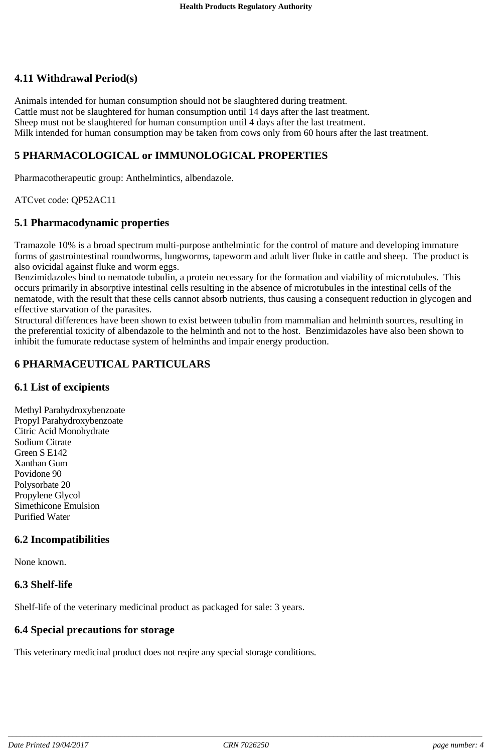### **4.11 Withdrawal Period(s)**

Animals intended for human consumption should not be slaughtered during treatment. Cattle must not be slaughtered for human consumption until 14 days after the last treatment. Sheep must not be slaughtered for human consumption until 4 days after the last treatment. Milk intended for human consumption may be taken from cows only from 60 hours after the last treatment.

### **5 PHARMACOLOGICAL or IMMUNOLOGICAL PROPERTIES**

Pharmacotherapeutic group: Anthelmintics, albendazole.

ATCvet code: QP52AC11

#### **5.1 Pharmacodynamic properties**

Tramazole 10% is a broad spectrum multi-purpose anthelmintic for the control of mature and developing immature forms of gastrointestinal roundworms, lungworms, tapeworm and adult liver fluke in cattle and sheep. The product is also ovicidal against fluke and worm eggs.

Benzimidazoles bind to nematode tubulin, a protein necessary for the formation and viability of microtubules. This occurs primarily in absorptive intestinal cells resulting in the absence of microtubules in the intestinal cells of the nematode, with the result that these cells cannot absorb nutrients, thus causing a consequent reduction in glycogen and effective starvation of the parasites.

Structural differences have been shown to exist between tubulin from mammalian and helminth sources, resulting in the preferential toxicity of albendazole to the helminth and not to the host. Benzimidazoles have also been shown to inhibit the fumurate reductase system of helminths and impair energy production.

#### **6 PHARMACEUTICAL PARTICULARS**

#### **6.1 List of excipients**

Methyl Parahydroxybenzoate Propyl Parahydroxybenzoate Citric Acid Monohydrate Sodium Citrate Green S E142 Xanthan Gum Povidone 90 Polysorbate 20 Propylene Glycol Simethicone Emulsion Purified Water

#### **6.2 Incompatibilities**

None known.

#### **6.3 Shelf-life**

Shelf-life of the veterinary medicinal product as packaged for sale: 3 years.

#### **6.4 Special precautions for storage**

This veterinary medicinal product does not reqire any special storage conditions.